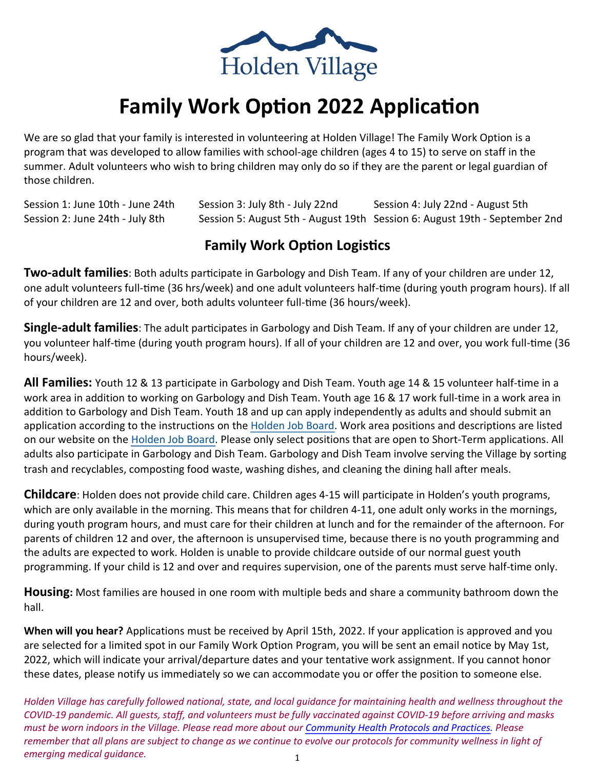

We are so glad that your family is interested in volunteering at Holden Village! The Family Work Option is a program that was developed to allow families with school-age children (ages 4 to 15) to serve on staff in the summer. Adult volunteers who wish to bring children may only do so if they are the parent or legal guardian of those children.

Session 1: June 10th - June 24th Session 3: July 8th - July 22nd Session 4: July 22nd - August 5th Session 2: June 24th - July 8th Session 5: August 5th - August 19th Session 6: August 19th - September 2nd

### **Family Work Option Logistics**

**Two-adult families**: Both adults participate in Garbology and Dish Team. If any of your children are under 12, one adult volunteers full-time (36 hrs/week) and one adult volunteers half-time (during youth program hours). If all of your children are 12 and over, both adults volunteer full-time (36 hours/week).

**Single-adult families**: The adult participates in Garbology and Dish Team. If any of your children are under 12, you volunteer half-time (during youth program hours). If all of your children are 12 and over, you work full-time (36 hours/week).

**All Families:** Youth 12 & 13 participate in Garbology and Dish Team. Youth age 14 & 15 volunteer half-time in a work area in addition to working on Garbology and Dish Team. Youth age 16 & 17 work full-time in a work area in addition to Garbology and Dish Team. Youth 18 and up can apply independently as adults and should submit an application according to the instructions on the [Holden Job Board.](http://www.holdenvillage.org/volunteer/holden-job-board/) Work area positions and descriptions are listed on our website on the [Holden Job Board.](http://www.holdenvillage.org/volunteer/holden-job-board/) Please only select positions that are open to Short-Term applications. All adults also participate in Garbology and Dish Team. Garbology and Dish Team involve serving the Village by sorting trash and recyclables, composting food waste, washing dishes, and cleaning the dining hall after meals.

**Childcare**: Holden does not provide child care. Children ages 4-15 will participate in Holden's youth programs, which are only available in the morning. This means that for children 4-11, one adult only works in the mornings, during youth program hours, and must care for their children at lunch and for the remainder of the afternoon. For parents of children 12 and over, the afternoon is unsupervised time, because there is no youth programming and the adults are expected to work. Holden is unable to provide childcare outside of our normal guest youth programming. If your child is 12 and over and requires supervision, one of the parents must serve half-time only.

**Housing:** Most families are housed in one room with multiple beds and share a community bathroom down the hall.

**When will you hear?** Applications must be received by April 15th, 2022. If your application is approved and you are selected for a limited spot in our Family Work Option Program, you will be sent an email notice by May 1st, 2022, which will indicate your arrival/departure dates and your tentative work assignment. If you cannot honor these dates, please notify us immediately so we can accommodate you or offer the position to someone else.

1 *Holden Village has carefully followed national, state, and local guidance for maintaining health and wellness throughout the COVID-19 pandemic. All guests, staff, and volunteers must be fully vaccinated against COVID-19 before arriving and masks must be worn indoors in the Village. Please read more about our [Community Health Protocols and Practices.](http://www.holdenvillage.org/visit/community-health/) Please remember that all plans are subject to change as we continue to evolve our protocols for community wellness in light of emerging medical guidance.*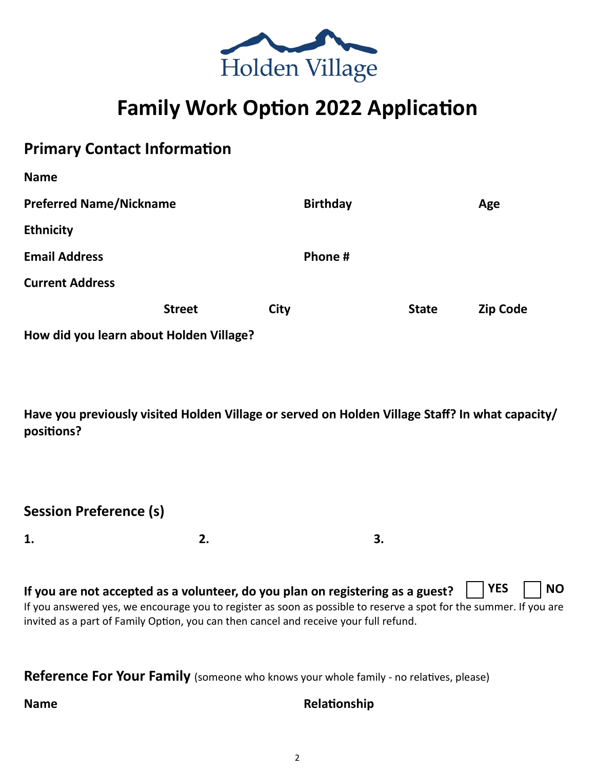

### **Primary Contact Information**

| <b>Name</b>                             |               |                 |              |                 |  |
|-----------------------------------------|---------------|-----------------|--------------|-----------------|--|
| <b>Preferred Name/Nickname</b>          |               | <b>Birthday</b> |              | Age             |  |
| <b>Ethnicity</b>                        |               |                 |              |                 |  |
| <b>Email Address</b>                    |               | Phone #         |              |                 |  |
| <b>Current Address</b>                  |               |                 |              |                 |  |
|                                         | <b>Street</b> | <b>City</b>     | <b>State</b> | <b>Zip Code</b> |  |
| How did you learn about Holden Village? |               |                 |              |                 |  |

**Have you previously visited Holden Village or served on Holden Village Staff? In what capacity/ positions?**

#### **Session Preference (s)**

**1. 2. 3.**

| If you are not accepted as a volunteer, do you plan on registering as a guest? $\Box$ YES $\Box$ NO                |  |
|--------------------------------------------------------------------------------------------------------------------|--|
| If you answered yes, we encourage you to register as soon as possible to reserve a spot for the summer. If you are |  |
| invited as a part of Family Option, you can then cancel and receive your full refund.                              |  |

**Reference For Your Family** (someone who knows your whole family - no relatives, please)

#### **Name Relationship**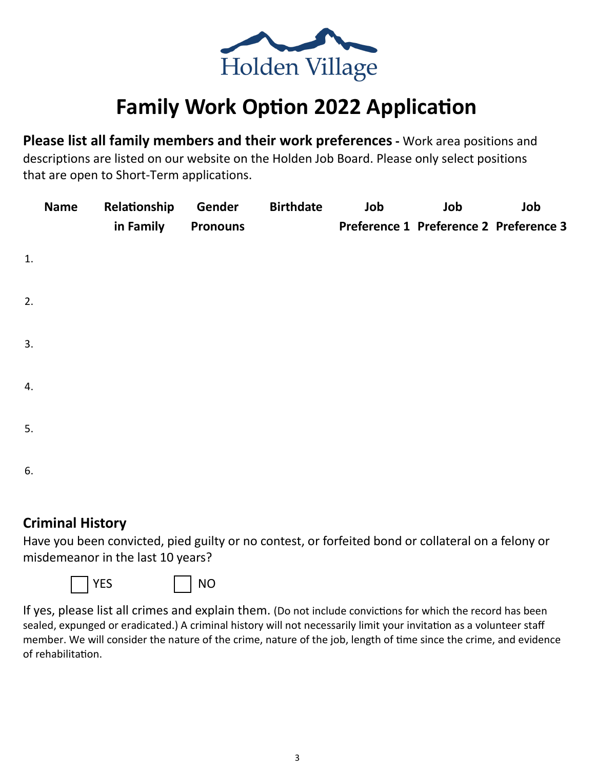

**Please list all family members and their work preferences -** Work area positions and descriptions are listed on our website on the Holden Job Board. Please only select positions that are open to Short-Term applications.

|    | <b>Name</b> | Relationship | Gender          | <b>Birthdate</b> | Job | Job | Job                                    |
|----|-------------|--------------|-----------------|------------------|-----|-----|----------------------------------------|
|    |             | in Family    | <b>Pronouns</b> |                  |     |     | Preference 1 Preference 2 Preference 3 |
| 1. |             |              |                 |                  |     |     |                                        |
| 2. |             |              |                 |                  |     |     |                                        |
| 3. |             |              |                 |                  |     |     |                                        |
| 4. |             |              |                 |                  |     |     |                                        |
| 5. |             |              |                 |                  |     |     |                                        |
| 6. |             |              |                 |                  |     |     |                                        |

### **Criminal History**

Have you been convicted, pied guilty or no contest, or forfeited bond or collateral on a felony or misdemeanor in the last 10 years?



If yes, please list all crimes and explain them. (Do not include convictions for which the record has been sealed, expunged or eradicated.) A criminal history will not necessarily limit your invitation as a volunteer staff member. We will consider the nature of the crime, nature of the job, length of time since the crime, and evidence of rehabilitation.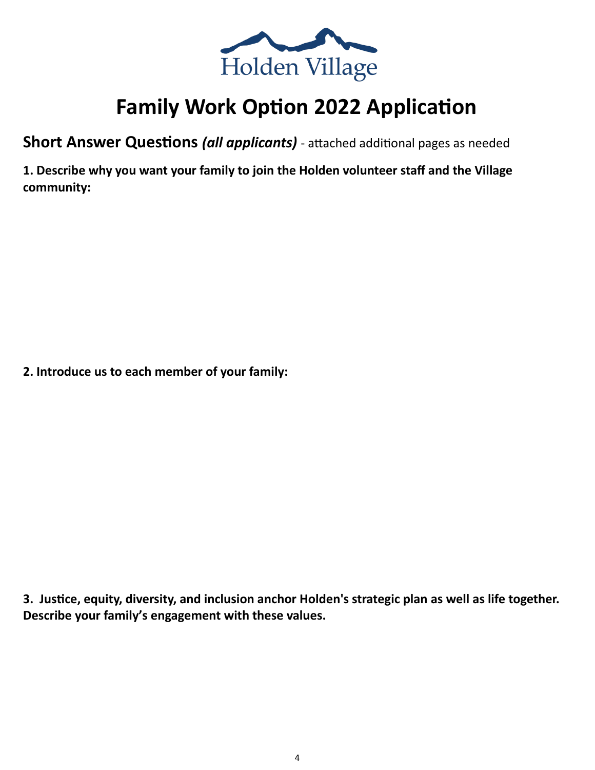

**Short Answer Questions** *(all applicants)* - attached additional pages as needed

**1. Describe why you want your family to join the Holden volunteer staff and the Village community:**

**2. Introduce us to each member of your family:**

**3. Justice, equity, diversity, and inclusion anchor Holden's strategic plan as well as life together. Describe your family's engagement with these values.**